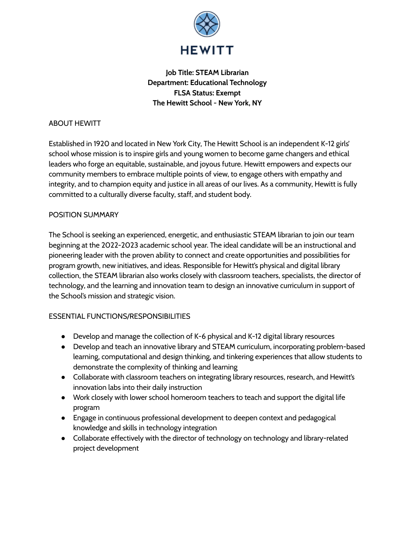

# **Job Title: STEAM Librarian Department: Educational Technology FLSA Status: Exempt The Hewitt School - New York, NY**

## ABOUT HEWITT

Established in 1920 and located in New York City, The Hewitt School is an independent K-12 girls' school whose mission is to inspire girls and young women to become game changers and ethical leaders who forge an equitable, sustainable, and joyous future. Hewitt empowers and expects our community members to embrace multiple points of view, to engage others with empathy and integrity, and to champion equity and justice in all areas of our lives. As a community, Hewitt is fully committed to a culturally diverse faculty, staff, and student body.

## POSITION SUMMARY

The School is seeking an experienced, energetic, and enthusiastic STEAM librarian to join our team beginning at the 2022-2023 academic school year. The ideal candidate will be an instructional and pioneering leader with the proven ability to connect and create opportunities and possibilities for program growth, new initiatives, and ideas. Responsible for Hewitt's physical and digital library collection, the STEAM librarian also works closely with classroom teachers, specialists, the director of technology, and the learning and innovation team to design an innovative curriculum in support of the School's mission and strategic vision.

## ESSENTIAL FUNCTIONS/RESPONSIBILITIES

- Develop and manage the collection of K-6 physical and K-12 digital library resources
- Develop and teach an innovative library and STEAM curriculum, incorporating problem-based learning, computational and design thinking, and tinkering experiences that allow students to demonstrate the complexity of thinking and learning
- Collaborate with classroom teachers on integrating library resources, research, and Hewitt's innovation labs into their daily instruction
- Work closely with lower school homeroom teachers to teach and support the digital life program
- Engage in continuous professional development to deepen context and pedagogical knowledge and skills in technology integration
- Collaborate effectively with the director of technology on technology and library-related project development